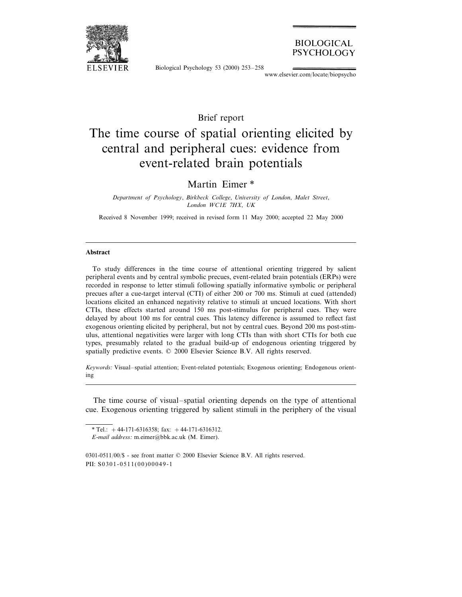

## **BIOLOGICAL** PSYCHOLOGY

Biological Psychology 53 (2000) 253–258

www.elsevier.com/locate/biopsycho

## Brief report

# The time course of spatial orienting elicited by central and peripheral cues: evidence from event-related brain potentials

Martin Eimer \*

*Department of Psychology*, *Birkbeck College*, *Uni*6*ersity of London*, *Malet Street*, *London WC*1*E* <sup>7</sup>*HX*, *UK*

Received 8 November 1999; received in revised form 11 May 2000; accepted 22 May 2000

#### **Abstract**

To study differences in the time course of attentional orienting triggered by salient peripheral events and by central symbolic precues, event-related brain potentials (ERPs) were recorded in response to letter stimuli following spatially informative symbolic or peripheral precues after a cue-target interval (CTI) of either 200 or 700 ms. Stimuli at cued (attended) locations elicited an enhanced negativity relative to stimuli at uncued locations. With short CTIs, these effects started around 150 ms post-stimulus for peripheral cues. They were delayed by about 100 ms for central cues. This latency difference is assumed to reflect fast exogenous orienting elicited by peripheral, but not by central cues. Beyond 200 ms post-stimulus, attentional negativities were larger with long CTIs than with short CTIs for both cue types, presumably related to the gradual build-up of endogenous orienting triggered by spatially predictive events. © 2000 Elsevier Science B.V. All rights reserved.

*Keywords*: Visual–spatial attention; Event-related potentials; Exogenous orienting; Endogenous orienting

The time course of visual–spatial orienting depends on the type of attentional cue. Exogenous orienting triggered by salient stimuli in the periphery of the visual

0301-0511/00/\$ - see front matter © 2000 Elsevier Science B.V. All rights reserved. PII: S0301-0511(00)00049-1

<sup>\*</sup> Tel.:  $+44-171-6316358$ ; fax:  $+44-171-6316312$ .

*E*-*mail address*: m.eimer@bbk.ac.uk (M. Eimer).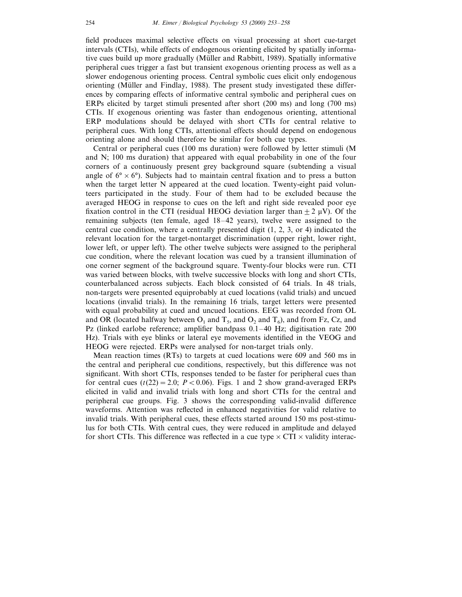field produces maximal selective effects on visual processing at short cue-target intervals (CTIs), while effects of endogenous orienting elicited by spatially informative cues build up more gradually (Müller and Rabbitt, 1989). Spatially informative peripheral cues trigger a fast but transient exogenous orienting process as well as a slower endogenous orienting process. Central symbolic cues elicit only endogenous orienting (Müller and Findlay, 1988). The present study investigated these differences by comparing effects of informative central symbolic and peripheral cues on ERPs elicited by target stimuli presented after short (200 ms) and long (700 ms) CTIs. If exogenous orienting was faster than endogenous orienting, attentional ERP modulations should be delayed with short CTIs for central relative to peripheral cues. With long CTIs, attentional effects should depend on endogenous orienting alone and should therefore be similar for both cue types.

Central or peripheral cues (100 ms duration) were followed by letter stimuli (M and N; 100 ms duration) that appeared with equal probability in one of the four corners of a continuously present grey background square (subtending a visual angle of  $6^{\circ} \times 6^{\circ}$ ). Subjects had to maintain central fixation and to press a button when the target letter N appeared at the cued location. Twenty-eight paid volunteers participated in the study. Four of them had to be excluded because the averaged HEOG in response to cues on the left and right side revealed poor eye fixation control in the CTI (residual HEOG deviation larger than  $+2 \mu V$ ). Of the remaining subjects (ten female, aged 18–42 years), twelve were assigned to the central cue condition, where a centrally presented digit (1, 2, 3, or 4) indicated the relevant location for the target-nontarget discrimination (upper right, lower right, lower left, or upper left). The other twelve subjects were assigned to the peripheral cue condition, where the relevant location was cued by a transient illumination of one corner segment of the background square. Twenty-four blocks were run. CTI was varied between blocks, with twelve successive blocks with long and short CTIs, counterbalanced across subjects. Each block consisted of 64 trials. In 48 trials, non-targets were presented equiprobably at cued locations (valid trials) and uncued locations (invalid trials). In the remaining 16 trials, target letters were presented with equal probability at cued and uncued locations. EEG was recorded from OL and OR (located halfway between  $O_1$  and  $T_5$ , and  $O_2$  and  $T_6$ ), and from Fz, Cz, and Pz (linked earlobe reference; amplifier bandpass 0.1–40 Hz; digitisation rate 200 Hz). Trials with eye blinks or lateral eye movements identified in the VEOG and HEOG were rejected. ERPs were analysed for non-target trials only.

Mean reaction times (RTs) to targets at cued locations were 609 and 560 ms in the central and peripheral cue conditions, respectively, but this difference was not significant. With short CTIs, responses tended to be faster for peripheral cues than for central cues  $(t(22)=2.0; P<0.06)$ . Figs. 1 and 2 show grand-averaged ERPs elicited in valid and invalid trials with long and short CTIs for the central and peripheral cue groups. Fig. 3 shows the corresponding valid-invalid difference waveforms. Attention was reflected in enhanced negativities for valid relative to invalid trials. With peripheral cues, these effects started around 150 ms post-stimulus for both CTIs. With central cues, they were reduced in amplitude and delayed for short CTIs. This difference was reflected in a cue type  $\times$  CTI  $\times$  validity interac-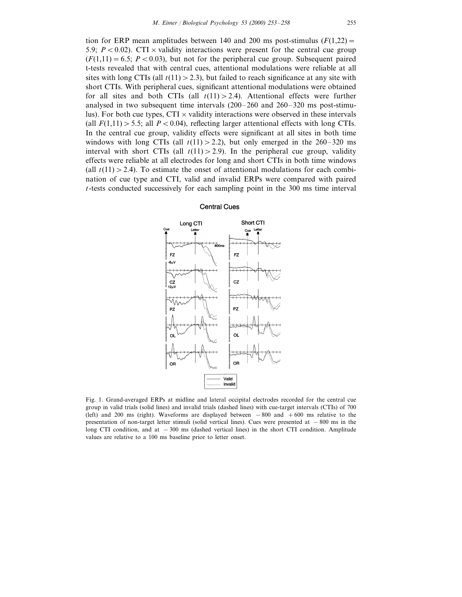tion for ERP mean amplitudes between 140 and 200 ms post-stimulus  $(F(1,22)$ = 5.9;  $P < 0.02$ ). CTI  $\times$  validity interactions were present for the central cue group  $(F(1,11)=6.5; P<0.03)$ , but not for the peripheral cue group. Subsequent paired t-tests revealed that with central cues, attentional modulations were reliable at all sites with long CTIs (all  $t(11) > 2.3$ ), but failed to reach significance at any site with short CTIs. With peripheral cues, significant attentional modulations were obtained for all sites and both CTIs (all  $t(11) > 2.4$ ). Attentional effects were further analysed in two subsequent time intervals (200–260 and 260–320 ms post-stimulus). For both cue types,  $CTI \times$  validity interactions were observed in these intervals (all  $F(1,11) > 5.5$ ; all  $P < 0.04$ ), reflecting larger attentional effects with long CTIs. In the central cue group, validity effects were significant at all sites in both time windows with long CTIs (all  $t(11) > 2.2$ ), but only emerged in the 260–320 ms interval with short CTIs (all  $t(11) > 2.9$ ). In the peripheral cue group, validity effects were reliable at all electrodes for long and short CTIs in both time windows (all  $t(11) > 2.4$ ). To estimate the onset of attentional modulations for each combination of cue type and CTI, valid and invalid ERPs were compared with paired *t*-tests conducted successively for each sampling point in the 300 ms time interval

#### **Central Cues**



Fig. 1. Grand-averaged ERPs at midline and lateral occipital electrodes recorded for the central cue group in valid trials (solid lines) and invalid trials (dashed lines) with cue-target intervals (CTIs) of 700 (left) and 200 ms (right). Waveforms are displayed between −800 and +600 ms relative to the presentation of non-target letter stimuli (solid vertical lines). Cues were presented at −800 ms in the long CTI condition, and at −300 ms (dashed vertical lines) in the short CTI condition. Amplitude values are relative to a 100 ms baseline prior to letter onset.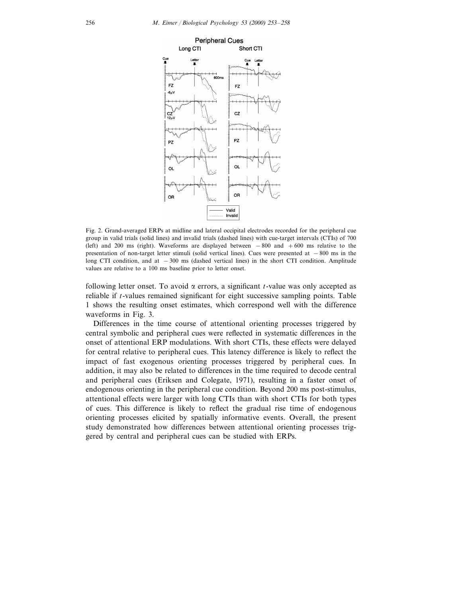

Fig. 2. Grand-averaged ERPs at midline and lateral occipital electrodes recorded for the peripheral cue group in valid trials (solid lines) and invalid trials (dashed lines) with cue-target intervals (CTIs) of 700 (left) and 200 ms (right). Waveforms are displayed between −800 and +600 ms relative to the presentation of non-target letter stimuli (solid vertical lines). Cues were presented at −800 ms in the long CTI condition, and at −300 ms (dashed vertical lines) in the short CTI condition. Amplitude values are relative to a 100 ms baseline prior to letter onset.

following letter onset. To avoid  $\alpha$  errors, a significant *t*-value was only accepted as reliable if *t*-values remained significant for eight successive sampling points. Table 1 shows the resulting onset estimates, which correspond well with the difference waveforms in Fig. 3.

Differences in the time course of attentional orienting processes triggered by central symbolic and peripheral cues were reflected in systematic differences in the onset of attentional ERP modulations. With short CTIs, these effects were delayed for central relative to peripheral cues. This latency difference is likely to reflect the impact of fast exogenous orienting processes triggered by peripheral cues. In addition, it may also be related to differences in the time required to decode central and peripheral cues (Eriksen and Colegate, 1971), resulting in a faster onset of endogenous orienting in the peripheral cue condition. Beyond 200 ms post-stimulus, attentional effects were larger with long CTIs than with short CTIs for both types of cues. This difference is likely to reflect the gradual rise time of endogenous orienting processes elicited by spatially informative events. Overall, the present study demonstrated how differences between attentional orienting processes triggered by central and peripheral cues can be studied with ERPs.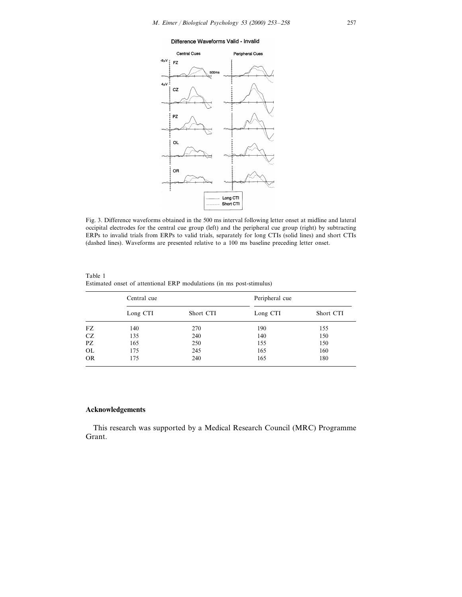#### Difference Waveforms Valid - Invalid



Fig. 3. Difference waveforms obtained in the 500 ms interval following letter onset at midline and lateral occipital electrodes for the central cue group (left) and the peripheral cue group (right) by subtracting ERPs to invalid trials from ERPs to valid trials, separately for long CTIs (solid lines) and short CTIs (dashed lines). Waveforms are presented relative to a 100 ms baseline preceding letter onset.

|           | Central cue |           | Peripheral cue |           |
|-----------|-------------|-----------|----------------|-----------|
|           | Long CTI    | Short CTI | Long CTI       | Short CTI |
| FZ        | 140         | 270       | 190            | 155       |
| CZ.       | 135         | 240       | 140            | 150       |
| PZ        | 165         | 250       | 155            | 150       |
| <b>OL</b> | 175         | 245       | 165            | 160       |
| <b>OR</b> | 175         | 240       | 165            | 180       |

Table 1 Estimated onset of attentional ERP modulations (in ms post-stimulus)

### **Acknowledgements**

This research was supported by a Medical Research Council (MRC) Programme Grant.